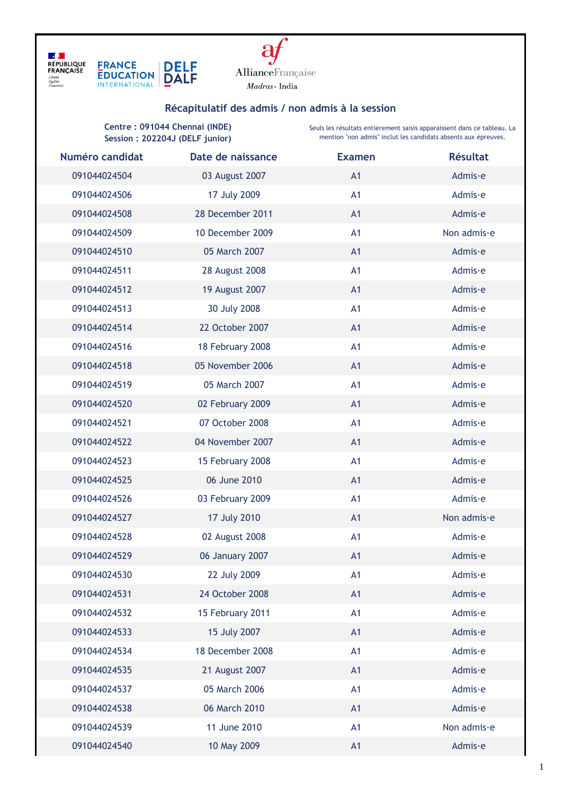



## **Récapitulatif des admis / non admis à la session**

**Centre : 091044 Chennai (INDE) Session : 202204J (DELF junior)**

Seuls les résultats entierement saisis apparaissent dans ce tableau. La mention "non admis" inclut les candidats absents aux épreuves.

| Numéro candidat | Date de naissance | <b>Examen</b> | <b>Résultat</b> |
|-----------------|-------------------|---------------|-----------------|
| 091044024504    | 03 August 2007    | A1            | Admis∙e         |
| 091044024506    | 17 July 2009      | A1            | Admis∙e         |
| 091044024508    | 28 December 2011  | A1            | Admis∙e         |
| 091044024509    | 10 December 2009  | A1            | Non admis-e     |
| 091044024510    | 05 March 2007     | A1            | Admis∙e         |
| 091044024511    | 28 August 2008    | A1            | Admis∙e         |
| 091044024512    | 19 August 2007    | A1            | Admis∙e         |
| 091044024513    | 30 July 2008      | A1            | Admis∙e         |
| 091044024514    | 22 October 2007   | A1            | Admis∙e         |
| 091044024516    | 18 February 2008  | A1            | Admis∙e         |
| 091044024518    | 05 November 2006  | A1            | Admis∙e         |
| 091044024519    | 05 March 2007     | A1            | Admis∙e         |
| 091044024520    | 02 February 2009  | A1            | Admis∙e         |
| 091044024521    | 07 October 2008   | A1            | Admis∙e         |
| 091044024522    | 04 November 2007  | A1            | Admis∙e         |
| 091044024523    | 15 February 2008  | A1            | Admis∙e         |
| 091044024525    | 06 June 2010      | A1            | Admis∙e         |
| 091044024526    | 03 February 2009  | A1            | Admis∙e         |
| 091044024527    | 17 July 2010      | A1            | Non admis-e     |
| 091044024528    | 02 August 2008    | A1            | Admis∙e         |
| 091044024529    | 06 January 2007   | A1            | Admis∙e         |
| 091044024530    | 22 July 2009      | A1            | Admis∙e         |
| 091044024531    | 24 October 2008   | A1            | Admis∙e         |
| 091044024532    | 15 February 2011  | A1            | Admis∙e         |
| 091044024533    | 15 July 2007      | A1            | Admis∙e         |
| 091044024534    | 18 December 2008  | A1            | Admis∙e         |
| 091044024535    | 21 August 2007    | A1            | Admis∙e         |
| 091044024537    | 05 March 2006     | A1            | Admis∙e         |
| 091044024538    | 06 March 2010     | A1            | Admis∙e         |
| 091044024539    | 11 June 2010      | A1            | Non admis-e     |
| 091044024540    | 10 May 2009       | A1            | Admis∙e         |